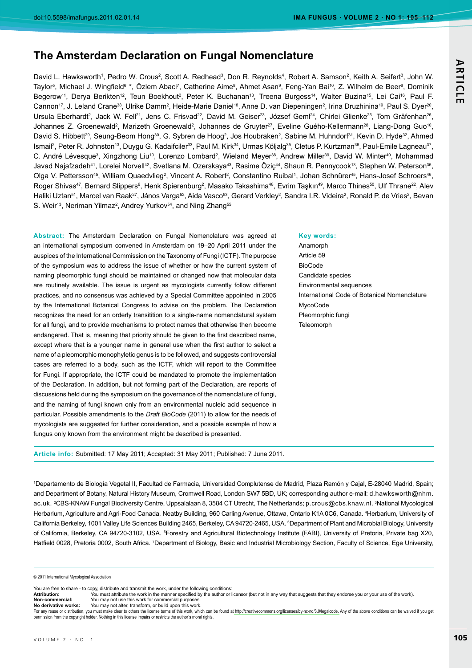# **The Amsterdam Declaration on Fungal Nomenclature**

David L. Hawksworth1, Pedro W. Crous<sup>2</sup>, Scott A. Redhead<sup>3</sup>, Don R. Reynolds<sup>4</sup>, Robert A. Samson<sup>2</sup>, Keith A. Seifert<sup>3</sup>, John W. Taylor<sup>s</sup>, Michael J. Wingfield<sup>s</sup> \*, Ozlem Abaci′, Catherine Aimeª, Ahmet Asanª, Feng-Yan Bai™, Z. Wilhelm de Beer<sup>s</sup>, Dominik Begerow<sup>11</sup>, Derya Berikten<sup>12</sup>, Teun Boekhout<sup>2</sup>, Peter K. Buchanan<sup>13</sup>, Treena Burgess<sup>14</sup>, Walter Buzina<sup>15</sup>, Lei Cai<sup>16</sup>, Paul F. Cannon<sup>17</sup>, J. Leland Crane<sup>38</sup>, Ulrike Damm<sup>2</sup>, Heide-Marie Daniel<sup>18</sup>, Anne D. van Diepeningen<sup>2</sup>, Irina Druzhinina<sup>19</sup>, Paul S. Dyer<sup>20</sup>, Ursula Eberhardt<sup>2</sup>, Jack W. Fell<sup>21</sup>, Jens C. Frisvad<sup>22</sup>, David M. Geiser<sup>23</sup>, József Geml<sup>24</sup>, Chirlei Glienke<sup>25</sup>, Tom Gräfenhan<sup>26</sup>, Johannes Z. Groenewald<sup>2</sup>, Marizeth Groenewald<sup>2</sup>, Johannes de Gruyter<sup>27</sup>, Eveline Guého-Kellermann<sup>28</sup>, Liang-Dong Guo<sup>10</sup>, David S. Hibbett<sup>ag</sup>, Seung-Beom Hong<sup>30</sup>, G. Sybren de Hoog<sup>2</sup>, Jos Houbraken<sup>2</sup>, Sabine M. Huhndorf<sup>31</sup>, Kevin D. Hyde<sup>32</sup>, Ahmed Ismail², Peter R. Johnston™, Duygu G. Kadaifcilerॐ, Paul M. Kirk¾, Urmas Kõljalgॐ, Cletus P. Kurtzman®, Paul-Emile Lagneau¾, C. André Lévesque<sup>3</sup>, Xingzhong Liu<sup>10</sup>, Lorenzo Lombard<sup>2</sup>, Wieland Meyer<sup>38</sup>, Andrew Miller<sup>39</sup>, David W. Minter<sup>40</sup>, Mohammad Javad Najafzadeh<sup>41</sup>, Lorelei Norvell<sup>42</sup>, Svetlana M. Ozerskaya<sup>43</sup>, Rasime Öziç<sup>44</sup>, Shaun R. Pennycook<sup>13</sup>, Stephen W. Peterson<sup>36</sup>, Olga V. Pettersson<sup>45</sup>, William Quaedvlieg<sup>2</sup>, Vincent A. Robert<sup>2</sup>, Constantino Ruibal1, Johan Schnürer<sup>45</sup>, Hans-Josef Schroers<sup>46</sup>, Roger Shivas<sup>47</sup>, Bernard Slippers<sup>6</sup>, Henk Spierenburg<sup>2</sup>, Masako Takashima<sup>48</sup>, Evrim Taşkın<sup>49</sup>, Marco Thines<sup>50</sup>, Ulf Thrane<sup>22</sup>, Alev Haliki Uztan<sup>sı</sup>, Marcel van Raak<sup>27</sup>, János Varga<sup>s2</sup>, Aida Vasco<sup>s3</sup>, Gerard Verkley<sup>2</sup>, Sandra I.R. Videira<sup>2</sup>, Ronald P. de Vries<sup>2</sup>, Bevan S. Weir<sup>13</sup>, Neriman Yilmaz<sup>2</sup>, Andrey Yurkov<sup>54</sup>, and Ning Zhang<sup>55</sup>

**Abstract:** The Amsterdam Declaration on Fungal Nomenclature was agreed at an international symposium convened in Amsterdam on 19–20 April 2011 under the auspices of the International Commission on the Taxonomy of Fungi (ICTF). The purpose of the symposium was to address the issue of whether or how the current system of naming pleomorphic fungi should be maintained or changed now that molecular data are routinely available. The issue is urgent as mycologists currently follow different practices, and no consensus was achieved by a Special Committee appointed in 2005 by the International Botanical Congress to advise on the problem. The Declaration recognizes the need for an orderly transitition to a single-name nomenclatural system for all fungi, and to provide mechanisms to protect names that otherwise then become endangered. That is, meaning that priority should be given to the first described name, except where that is a younger name in general use when the first author to select a name of a pleomorphic monophyletic genus is to be followed, and suggests controversial cases are referred to a body, such as the ICTF, which will report to the Committee for Fungi. If appropriate, the ICTF could be mandated to promote the implementation of the Declaration. In addition, but not forming part of the Declaration, are reports of discussions held during the symposium on the governance of the nomenclature of fungi, and the naming of fungi known only from an environmental nucleic acid sequence in particular. Possible amendments to the *Draft BioCode* (2011) to allow for the needs of mycologists are suggested for further consideration, and a possible example of how a fungus only known from the environment might be described is presented.

#### **Key words:**

**Anamorph** Article 59 BioCode Candidate species Environmental sequences International Code of Botanical Nomenclature **MycoCode** Pleomorphic fungi **Teleomorph** 

**Article info:** Submitted: 17 May 2011; Accepted: 31 May 2011; Published: 7 June 2011.

1 Departamento de Biología Vegetal II, Facultad de Farmacia, Universidad Complutense de Madrid, Plaza Ramón y Cajal, E-28040 Madrid, Spain; and Department of Botany, Natural History Museum, Cromwell Road, London SW7 5BD, UK; corresponding author e-mail: d.hawksworth@nhm. ac.uk. <sup>2</sup> CBS-KNAW Fungal Biodiversity Centre, Uppsalalaan 8, 3584 CT Utrecht, The Netherlands; p.crous@cbs.knaw.nl. <sup>3</sup> National Mycological Herbarium, Agriculture and Agri-Food Canada, Neatby Building, 960 Carling Avenue, Ottawa, Ontario K1A 0C6, Canada. <sup>4</sup> Herbarium, University of California Berkeley, 1001 Valley Life Sciences Building 2465, Berkeley, CA94720-2465, USA. <sup>5</sup> Department of Plant and Microbial Biology, University of California, Berkeley, CA 94720-3102, USA. <sup>6</sup>Forestry and Agricultural Biotechnology Institute (FABI), University of Pretoria, Private bag X20, Hatfield 0028, Pretoria 0002, South Africa. 7Department of Biology, Basic and Industrial Microbiology Section, Faculty of Science, Ege University,

You are free to share - to copy, distribute and transmit the work, under the following conditions:<br>Attribution: You must attribute the work in the manner specified by the author or

Attribution: You must attribute the work in the manner specified by the author or licensor (but not in any way that suggests that they endorse you or your use of the work).<br>Non-commercial: You may not use this work for com

**Non-commercial:** You may not use this work for commercial purposes<br>**No derivative works:** You may not alter, transform, or build upon this work You may not alter, transform, or build upon this work For any reuse or distribution, you must make clear to others the license terms of this work, which can be found at [http://creativecommons.org/licenses/by-nc-nd/3.0/legalcode.](http://creativecommons.org/licenses/by-nc-nd/3.0/legalcode) Any of the above conditions can be waived if yo permission from the copyright holder. Nothing in this license impairs or restricts the author's moral rights.

ARTICLE **ARTICLE**

<sup>© 2011</sup> International Mycological Association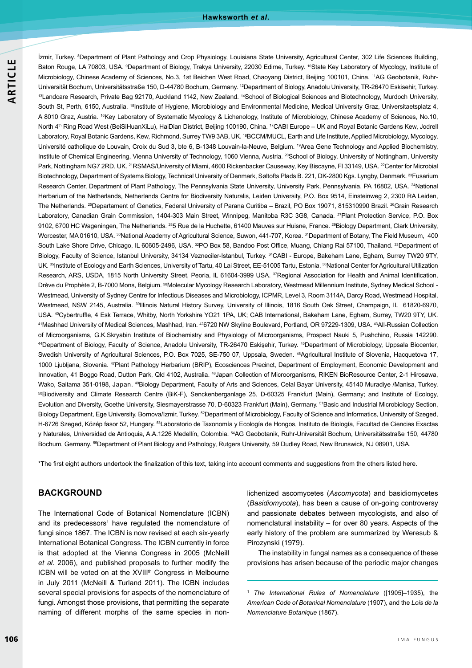#### **Hawksworth** *et al***.**

Izmir, Turkey. <sup>8</sup>Department of Plant Pathology and Crop Physiology, Louisiana State University, Agricultural Center, 302 Life Sciences Building, Baton Rouge, LA 70803, USA. <sup>9</sup>Department of Biology, Trakya University, 22030 Edirne, Turkey. <sup>10</sup>State Key Laboratory of Mycology, Institute of Microbiology, Chinese Academy of Sciences, No.3, 1st Beichen West Road, Chaoyang District, Beijing 100101, China. <sup>11</sup>AG Geobotanik, Ruhr-Universität Bochum, Universitätsstraße 150, D-44780 Bochum, Germany. 12Department of Biology, Anadolu University, TR-26470 Eskisehir, Turkey. <sup>13</sup>Landcare Research, Private Bag 92170, Auckland 1142, New Zealand. <sup>14</sup>School of Biological Sciences and Biotechnology, Murdoch University. South St, Perth, 6150, Australia. <sup>15</sup>Institute of Hygiene, Microbiology and Environmental Medicine, Medical University Graz, Universitaetsplatz 4, A 8010 Graz, Austria. <sup>16</sup>Key Laboratory of Systematic Mycology & Lichenology, Institute of Microbiology, Chinese Academy of Sciences, No.10, North 4<sup>th</sup> Ring Road West (BeiSiHuanXiLu), HaiDian District, Beijing 100190, China. <sup>17</sup>CABI Europe – UK and Royal Botanic Gardens Kew, Jodrell Laboratory, Royal Botanic Gardens, Kew, Richmond, Surrey TW9 3AB, UK. <sup>18</sup>BCCM/MUCL, Earth and Life Institute, Applied Microbiology, Mycology, Université catholique de Louvain, Croix du Sud 3, bte 6, B-1348 Louvain-la-Neuve, Belgium. <sup>19</sup>Area Gene Technology and Applied Biochemistry, Institute of Chemical Engineering, Vienna University of Technology, 1060 Vienna, Austria. <sup>20</sup>School of Biology, University of Nottingham, University Park, Nottingham NG7 2RD, UK. <sup>21</sup>RSMAS/University of Miami, 4600 Rickenbacker Causeway, Key Biscayne, Fl 33149, USA. <sup>22</sup>Center for Microbial Biotechnology, Department of Systems Biology, Technical University of Denmark, Søltofts Plads B. 221, DK-2800 Kgs. Lyngby, Denmark. <sup>23</sup>Fusarium Research Center, Department of Plant Pathology, The Pennsylvania State University, University Park, Pennsylvania, PA 16802, USA. <sup>24</sup>National Herbarium of the Netherlands, Netherlands Centre for Biodiversity Naturalis, Leiden University, P.O. Box 9514, Einsteinweg 2, 2300 RA Leiden, The Netherlands. <sup>25</sup>Departament of Genetics, Federal University of Parana Curitiba – Brazil, PO Box 19071, 815310990 Brazil. <sup>26</sup>Grain Research Laboratory, Canadian Grain Commission, 1404-303 Main Street, Winnipeg, Manitoba R3C 3G8, Canada. <sup>27</sup>Plant Protection Service, P.O. Box 9102, 6700 HC Wageningen, The Netherlands. <sup>28</sup>5 Rue de la Huchette, 61400 Mauves sur Huisne, France. <sup>29</sup>Biology Department, Clark University, Worcester, MA 01610, USA. <sup>30</sup>National Academy of Agricultural Science, Suwon, 441-707, Korea. <sup>31</sup>Department of Botany, The Field Museum, 400 South Lake Shore Drive, Chicago, IL 60605-2496, USA. <sup>32</sup>PO Box 58, Bandoo Post Office, Muang, Chiang Rai 57100, Thailand. <sup>33</sup>Department of Biology, Faculty of Science, Istanbul University, 34134 Vezneciler-Istanbul, Turkey. 34CABI - Europe, Bakeham Lane, Egham, Surrey TW20 9TY, UK. <sup>35</sup>Institute of Ecology and Earth Sciences, University of Tartu, 40 Lai Street, EE-51005 Tartu, Estonia. <sup>36</sup>National Center for Agricultural Utilization Research, ARS, USDA, 1815 North University Street, Peoria, IL 61604-3999 USA. <sup>37</sup>Regional Association for Health and Animal Identification, Drève du Prophète 2, B-7000 Mons, Belgium. <sup>38</sup>Molecular Mycology Research Laboratory, Westmead Millennium Institute, Sydney Medical School -Westmead, University of Sydney Centre for Infectious Diseases and Microbiology, ICPMR, Level 3, Room 3114A, Darcy Road, Westmead Hospital, Westmead, NSW 2145, Australia. <sup>39</sup>Illinois Natural History Survey, University of Illinois, 1816 South Oak Street, Champaign, IL 61820-6970, USA. 40Cybertruffle, 4 Esk Terrace, Whitby, North Yorkshire YO21 1PA, UK; CAB InternationaI, Bakeham Lane, Egham, Surrey, TW20 9TY, UK. 41Mashhad University of Medical Sciences, Mashhad, Iran. 426720 NW Skyline Boulevard, Portland, OR 97229-1309, USA. 43All-Russian Collection of Microorganisms, G.K.Skryabin Institute of Biochemistry and Physiology of Microorganisms, Prospect Nauki 5, Pushchino, Russia 142290. 44Department of Biology, Faculty of Science, Anadolu University, TR-26470 Eskişehir, Turkey. <sup>45</sup>Department of Microbiology, Uppsala Biocenter, Swedish University of Agricultural Sciences, P.O. Box 7025, SE-750 07, Uppsala, Sweden. <sup>46</sup>Agricultural Institute of Slovenia, Hacquetova 17, 1000 Ljubljana, Slovenia. 47Plant Pathology Herbarium (BRIP), Ecosciences Precinct, Department of Employment, Economic Development and Innovation, 41 Boggo Road, Dutton Park, Qld 4102, Australia. <sup>48</sup>Japan Collection of Microorganisms, RIKEN BioResource Center, 2-1 Hirosawa, Wako, Saitama 351-0198, Japan. <sup>49</sup>Biology Department, Faculty of Arts and Sciences, Celal Bayar University, 45140 Muradiye /Manisa, Turkey. 50Biodiversity and Climate Research Centre (BiK-F), Senckenberganlage 25, D-60325 Frankfurt (Main), Germany; and Institute of Ecology, Evolution and Diversity, Goethe University, Siesmayerstrasse 70, D-60323 Frankfurt (Main), Germany. <sup>51</sup>Basic and Industrial Microbiology Section, Biology Department, Ege University, Bornova/Izmir, Turkey. <sup>52</sup>Department of Microbiology, Faculty of Science and Informatics, University of Szeged, H-6726 Szeged, Közép fasor 52, Hungary. 53Laboratorio de Taxonomía y Ecología de Hongos, Instituto de Biología, Facultad de Ciencias Exactas y Naturales, Universidad de Antioquia, A.A.1226 Medellín, Colombia. 54AG Geobotanik, Ruhr-Universität Bochum, Universitätsstraße 150, 44780 Bochum, Germany. <sup>55</sup>Department of Plant Biology and Pathology, Rutgers University, 59 Dudley Road, New Brunswick, NJ 08901, USA.

\*The first eight authors undertook the finalization of this text, taking into account comments and suggestions from the others listed here.

## **BACKGROUND**

The International Code of Botanical Nomenclature (ICBN) and its predecessors<sup>1</sup> have regulated the nomenclature of fungi since 1867. The ICBN is now revised at each six-yearly International Botanical Congress. The ICBN currently in force is that adopted at the Vienna Congress in 2005 (McNeill *et al*. 2006), and published proposals to further modify the ICBN will be voted on at the XVIII<sup>th</sup> Congress in Melbourne in July 2011 (McNeill & Turland 2011). The ICBN includes several special provisions for aspects of the nomenclature of fungi. Amongst those provisions, that permitting the separate naming of different morphs of the same species in nonlichenized ascomycetes (*Ascomycota*) and basidiomycetes (*Basidiomycota*), has been a cause of on-going controversy and passionate debates between mycologists, and also of nomenclatural instability – for over 80 years. Aspects of the early history of the problem are summarized by Weresub & Pirozynski (1979).

The instability in fungal names as a consequence of these provisions has arisen because of the periodic major changes

<sup>1</sup> *The International Rules of Nomenclature* ([1905]–1935), the *American Code of Botanical Nomenclature* (1907), and the *Lois de la Nomenclature Botanique* (1867).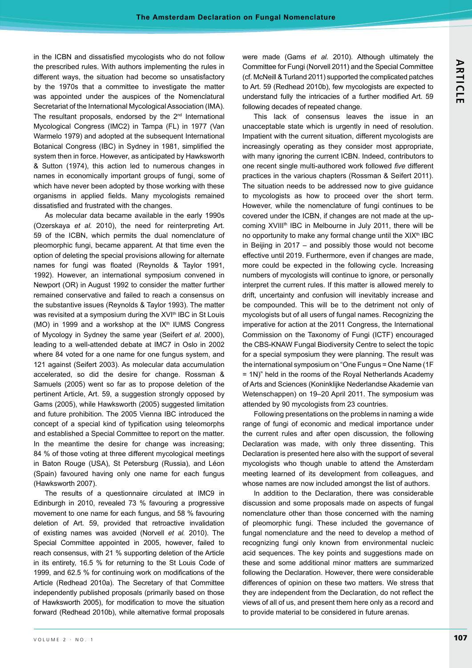in the ICBN and dissatisfied mycologists who do not follow the prescribed rules. With authors implementing the rules in different ways, the situation had become so unsatisfactory by the 1970s that a committee to investigate the matter was appointed under the auspices of the Nomenclatural Secretariat of the International Mycological Association (IMA). The resultant proposals, endorsed by the 2<sup>nd</sup> International Mycological Congress (IMC2) in Tampa (FL) in 1977 (Van Warmelo 1979) and adopted at the subsequent International Botanical Congress (IBC) in Sydney in 1981, simplified the system then in force. However, as anticipated by Hawksworth & Sutton (1974), this action led to numerous changes in names in economically important groups of fungi, some of which have never been adopted by those working with these organisms in applied fields. Many mycologists remained dissatisfied and frustrated with the changes.

As molecular data became available in the early 1990s (Ozerskaya *et al.* 2010), the need for reinterpreting Art. 59 of the ICBN, which permits the dual nomenclature of pleomorphic fungi, became apparent. At that time even the option of deleting the special provisions allowing for alternate names for fungi was floated (Reynolds & Taylor 1991, 1992). However, an international symposium convened in Newport (OR) in August 1992 to consider the matter further remained conservative and failed to reach a consensus on the substantive issues (Reynolds & Taylor 1993). The matter was revisited at a symposium during the XVI<sup>th</sup> IBC in St Louis (MO) in 1999 and a workshop at the  $IX<sup>th</sup>$  IUMS Congress of Mycology in Sydney the same year (Seifert *et al.* 2000), leading to a well-attended debate at IMC7 in Oslo in 2002 where 84 voted for a one name for one fungus system, and 121 against (Seifert 2003). As molecular data accumulation accelerated, so did the desire for change. Rossman & Samuels (2005) went so far as to propose deletion of the pertinent Article, Art. 59, a suggestion strongly opposed by Gams (2005), while Hawksworth (2005) suggested limitation and future prohibition. The 2005 Vienna IBC introduced the concept of a special kind of typification using teleomorphs and established a Special Committee to report on the matter. In the meantime the desire for change was increasing; 84 % of those voting at three different mycological meetings in Baton Rouge (USA), St Petersburg (Russia), and Léon (Spain) favoured having only one name for each fungus (Hawksworth 2007).

The results of a questionnaire circulated at IMC9 in Edinburgh in 2010, revealed 73 % favouring a progressive movement to one name for each fungus, and 58 % favouring deletion of Art. 59, provided that retroactive invalidation of existing names was avoided (Norvell *et al.* 2010). The Special Committee appointed in 2005, however, failed to reach consensus, with 21 % supporting deletion of the Article in its entirety, 16.5 % for returning to the St Louis Code of 1999, and 62.5 % for continuing work on modifications of the Article (Redhead 2010a). The Secretary of that Committee independently published proposals (primarily based on those of Hawksworth 2005), for modification to move the situation forward (Redhead 2010b), while alternative formal proposals

were made (Gams *et al.* 2010). Although ultimately the Committee for Fungi (Norvell 2011) and the Special Committee (cf. McNeill & Turland 2011) supported the complicated patches to Art. 59 (Redhead 2010b), few mycologists are expected to understand fully the intricacies of a further modified Art. 59 following decades of repeated change.

This lack of consensus leaves the issue in an unacceptable state which is urgently in need of resolution. Impatient with the current situation, different mycologists are increasingly operating as they consider most appropriate, with many ignoring the current ICBN. Indeed, contributors to one recent single multi-authored work followed *five* different practices in the various chapters (Rossman & Seifert 2011). The situation needs to be addressed now to give guidance to mycologists as how to proceed over the short term. However, while the nomenclature of fungi continues to be covered under the ICBN, if changes are not made at the upcoming XVIII<sup>th</sup> IBC in Melbourne in July 2011, there will be no opportunity to make any formal change until the XIX<sup>th</sup> IBC in Beijing in 2017 – and possibly those would not become effective until 2019. Furthermore, even if changes are made, more could be expected in the following cycle. Increasing numbers of mycologists will continue to ignore, or personally interpret the current rules. If this matter is allowed merely to drift, uncertainty and confusion will inevitably increase and be compounded. This will be to the detriment not only of mycologists but of all users of fungal names. Recognizing the imperative for action at the 2011 Congress, the International Commission on the Taxonomy of Fungi (ICTF) encouraged the CBS-KNAW Fungal Biodiversity Centre to select the topic for a special symposium they were planning. The result was the international symposium on "One Fungus = One Name (1F = 1N)" held in the rooms of the Royal Netherlands Academy of Arts and Sciences (Koninklijke Nederlandse Akademie van Wetenschappen) on 19–20 April 2011. The symposium was attended by 90 mycologists from 23 countries.

Following presentations on the problems in naming a wide range of fungi of economic and medical importance under the current rules and after open discussion, the following Declaration was made, with only three dissenting. This Declaration is presented here also with the support of several mycologists who though unable to attend the Amsterdam meeting learned of its development from colleagues, and whose names are now included amongst the list of authors.

In addition to the Declaration, there was considerable discussion and some proposals made on aspects of fungal nomenclature other than those concerned with the naming of pleomorphic fungi. These included the governance of fungal nomenclature and the need to develop a method of recognizing fungi only known from environmental nucleic acid sequences. The key points and suggestions made on these and some additional minor matters are summarized following the Declaration. However, there were considerable differences of opinion on these two matters. We stress that they are independent from the Declaration, do not reflect the views of all of us, and present them here only as a record and to provide material to be considered in future arenas.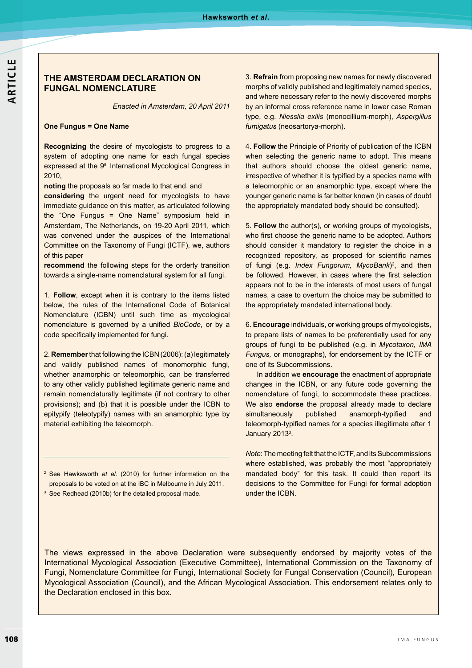### **THE AMSTERDAM DECLARATION ON FUNGAL NOMENCLATURE**

*Enacted in Amsterdam, 20 April 2011*

#### **One Fungus = One Name**

**Recognizing** the desire of mycologists to progress to a system of adopting one name for each fungal species expressed at the 9<sup>th</sup> International Mycological Congress in 2010,

**noting** the proposals so far made to that end, and

**considering** the urgent need for mycologists to have immediate guidance on this matter, as articulated following the "One Fungus = One Name" symposium held in Amsterdam, The Netherlands, on 19-20 April 2011, which was convened under the auspices of the International Committee on the Taxonomy of Fungi (ICTF), we, authors of this paper

**recommend** the following steps for the orderly transition towards a single-name nomenclatural system for all fungi.

1. **Follow**, except when it is contrary to the items listed below, the rules of the International Code of Botanical Nomenclature (ICBN) until such time as mycological nomenclature is governed by a unified *BioCode*, or by a code specifically implemented for fungi.

2. **Remember**that following the ICBN (2006):(a)legitimately and validly published names of monomorphic fungi, whether anamorphic or teleomorphic, can be transferred to any other validly published legitimate generic name and remain nomenclaturally legitimate (if not contrary to other provisions); and (b) that it is possible under the ICBN to epitypify (teleotypify) names with an anamorphic type by material exhibiting the teleomorph.

- <sup>2</sup> See Hawksworth *et al*. (2010) for further information on the proposals to be voted on at the IBC in Melbourne in July 2011.
- <sup>3</sup> See Redhead (2010b) for the detailed proposal made.

3. **Refrain** from proposing new names for newly discovered morphs of validly published and legitimately named species, and where necessary refer to the newly discovered morphs by an informal cross reference name in lower case Roman type, e.g. *Niesslia exilis* (monocillium-morph), *Aspergillus fumigatus* (neosartorya-morph).

4. **Follow** the Principle of Priority of publication of the ICBN when selecting the generic name to adopt. This means that authors should choose the oldest generic name, irrespective of whether it is typified by a species name with a teleomorphic or an anamorphic type, except where the younger generic name is far better known (in cases of doubt the appropriately mandated body should be consulted).

5. **Follow** the author(s), or working groups of mycologists, who first choose the generic name to be adopted. Authors should consider it mandatory to register the choice in a recognized repository, as proposed for scientific names of fungi (e.g. *Index Fungorum, MycoBank*)2 , and then be followed. However, in cases where the first selection appears not to be in the interests of most users of fungal names, a case to overturn the choice may be submitted to the appropriately mandated international body.

6. **Encourage** individuals, or working groups of mycologists, to prepare lists of names to be preferentially used for any groups of fungi to be published (e.g. in *Mycotaxon, IMA Fungus,* or monographs), for endorsement by the ICTF or one of its Subcommissions.

In addition we **encourage** the enactment of appropriate changes in the ICBN, or any future code governing the nomenclature of fungi, to accommodate these practices. We also **endorse** the proposal already made to declare simultaneously published anamorph-typified and teleomorph-typified names for a species illegitimate after 1 January 2013<sup>3</sup>.

*Note*: The meeting felt that the ICTF, and its Subcommissions where established, was probably the most "appropriately mandated body" for this task. It could then report its decisions to the Committee for Fungi for formal adoption under the ICBN.

The views expressed in the above Declaration were subsequently endorsed by majority votes of the International Mycological Association (Executive Committee), International Commission on the Taxonomy of Fungi, Nomenclature Committee for Fungi, International Society for Fungal Conservation (Council), European Mycological Association (Council), and the African Mycological Association. This endorsement relates only to the Declaration enclosed in this box.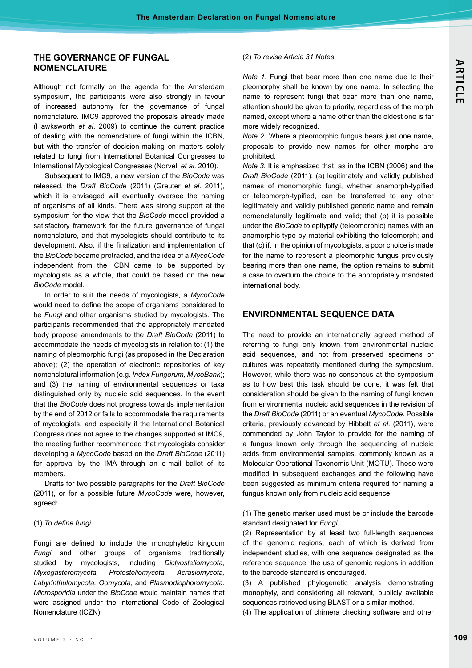### **THE GOVERNANCE OF FUNGAL NOMENCLATURE**

Although not formally on the agenda for the Amsterdam symposium, the participants were also strongly in favour of increased autonomy for the governance of fungal nomenclature. IMC9 approved the proposals already made (Hawksworth *et al*. 2009) to continue the current practice of dealing with the nomenclature of fungi within the ICBN, but with the transfer of decision-making on matters solely related to fungi from International Botanical Congresses to International Mycological Congresses (Norvell *et al*. 2010).

Subsequent to IMC9, a new version of the *BioCode* was released, the *Draft BioCode* (2011) (Greuter *et al*. 2011), which it is envisaged will eventually oversee the naming of organisms of all kinds. There was strong support at the symposium for the view that the *BioCode* model provided a satisfactory framework for the future governance of fungal nomenclature, and that mycologists should contribute to its development. Also, if the finalization and implementation of the *BioCode* became protracted, and the idea of a *MycoCode* independent from the ICBN came to be supported by mycologists as a whole, that could be based on the new *BioCode* model.

In order to suit the needs of mycologists, a *MycoCode* would need to define the scope of organisms considered to be *Fungi* and other organisms studied by mycologists. The participants recommended that the appropriately mandated body propose amendments to the *Draft BioCode* (2011) to accommodate the needs of mycologists in relation to: (1) the naming of pleomorphic fungi (as proposed in the Declaration above); (2) the operation of electronic repositories of key nomenclatural information (e.g. *Index Fungorum, MycoBank*); and (3) the naming of environmental sequences or taxa distinguished only by nucleic acid sequences. In the event that the *BioCode* does not progress towards implementation by the end of 2012 or fails to accommodate the requirements of mycologists, and especially if the International Botanical Congress does not agree to the changes supported at IMC9, the meeting further recommended that mycologists consider developing a *MycoCode* based on the *Draft BioCode* (2011) for approval by the IMA through an e-mail ballot of its members.

Drafts for two possible paragraphs for the *Draft BioCode* (2011), or for a possible future *MycoCode* were, however, agreed:

### (1) *To define fungi*

Fungi are defined to include the monophyletic kingdom *Fungi* and other groups of organisms traditionally studied by mycologists, including *Dictyosteliomycota, Myxogasteromycota, Protosteliomycota, Acrasiomycota, Labyrinthulomycota, Oomycota*, and *Plasmodiophoromycota*. *Microsporidia* under the *BioCode* would maintain names that were assigned under the International Code of Zoological Nomenclature (ICZN).

#### (2) *To revise Article 31 Notes*

*Note 1*. Fungi that bear more than one name due to their pleomorphy shall be known by one name. In selecting the name to represent fungi that bear more than one name, attention should be given to priority, regardless of the morph named, except where a name other than the oldest one is far more widely recognized.

*Note 2.* Where a pleomorphic fungus bears just one name, proposals to provide new names for other morphs are prohibited.

*Note 3.* It is emphasized that, as in the ICBN (2006) and the *Draft BioCode* (2011): (a) legitimately and validly published names of monomorphic fungi, whether anamorph-typified or teleomorph-typified, can be transferred to any other legitimately and validly published generic name and remain nomenclaturally legitimate and valid; that (b) it is possible under the *BioCode* to epitypify (teleomorphic) names with an anamorphic type by material exhibiting the teleomorph; and that (c) if, in the opinion of mycologists, a poor choice is made for the name to represent a pleomorphic fungus previously bearing more than one name, the option remains to submit a case to overturn the choice to the appropriately mandated international body.

### **ENVIRONMENTAL SEQUENCE DATA**

The need to provide an internationally agreed method of referring to fungi only known from environmental nucleic acid sequences, and not from preserved specimens or cultures was repeatedly mentioned during the symposium. However, while there was no consensus at the symposium as to how best this task should be done, it was felt that consideration should be given to the naming of fungi known from environmental nucleic acid sequences in the revision of the *Draft BioCode* (2011) or an eventual *MycoCode*. Possible criteria, previously advanced by Hibbett *et al*. (2011), were commended by John Taylor to provide for the naming of a fungus known only through the sequencing of nucleic acids from environmental samples, commonly known as a Molecular Operational Taxonomic Unit (MOTU). These were modified in subsequent exchanges and the following have been suggested as minimum criteria required for naming a fungus known only from nucleic acid sequence:

(1) The genetic marker used must be or include the barcode standard designated for *Fungi*.

(2) Representation by at least two full-length sequences of the genomic regions, each of which is derived from independent studies, with one sequence designated as the reference sequence; the use of genomic regions in addition to the barcode standard is encouraged.

(3) A published phylogenetic analysis demonstrating monophyly, and considering all relevant, publicly available sequences retrieved using BLAST or a similar method.

(4) The application of chimera checking software and other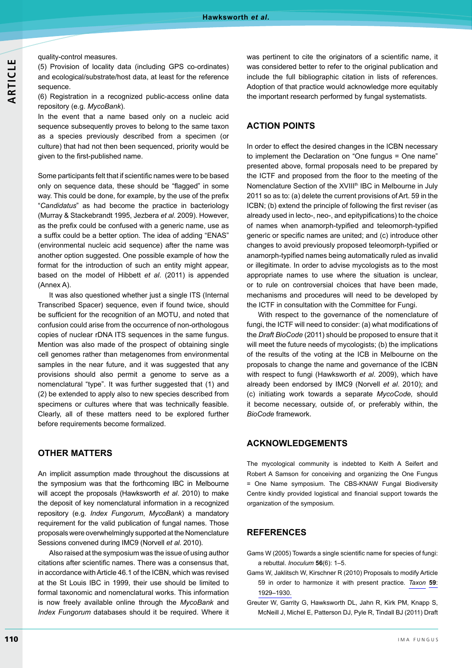#### quality-control measures.

(5) Provision of locality data (including GPS co-ordinates) and ecological/substrate/host data, at least for the reference sequence.

(6) Registration in a recognized public-access online data repository (e.g. *MycoBank*).

In the event that a name based only on a nucleic acid sequence subsequently proves to belong to the same taxon as a species previously described from a specimen (or culture) that had not then been sequenced, priority would be given to the first-published name.

Some participants felt that if scientific names were to be based only on sequence data, these should be "flagged" in some way. This could be done, for example, by the use of the prefix "*Candidatus*" as had become the practice in bacteriology (Murray & Stackebrandt 1995, Jezbera *et al.* 2009). However, as the prefix could be confused with a generic name, use as a suffix could be a better option. The idea of adding "ENAS" (environmental nucleic acid sequence) after the name was another option suggested. One possible example of how the format for the introduction of such an entity might appear, based on the model of Hibbett *et al*. (2011) is appended (Annex A).

It was also questioned whether just a single ITS (Internal Transcribed Spacer) sequence, even if found twice, should be sufficient for the recognition of an MOTU, and noted that confusion could arise from the occurrence of non-orthologous copies of nuclear rDNA ITS sequences in the same fungus. Mention was also made of the prospect of obtaining single cell genomes rather than metagenomes from environmental samples in the near future, and it was suggested that any provisions should also permit a genome to serve as a nomenclatural "type". It was further suggested that (1) and (2) be extended to apply also to new species described from specimens or cultures where that was technically feasible. Clearly, all of these matters need to be explored further before requirements become formalized.

### **OTHER MATTERS**

An implicit assumption made throughout the discussions at the symposium was that the forthcoming IBC in Melbourne will accept the proposals (Hawksworth *et al*. 2010) to make the deposit of key nomenclatural information in a recognized repository (e.g. *Index Fungorum*, *MycoBank*) a mandatory requirement for the valid publication of fungal names. Those proposals were overwhelmingly supported at the Nomenclature Sessions convened during IMC9 (Norvell *et al*. 2010).

Also raised at the symposium was the issue of using author citations after scientific names. There was a consensus that, in accordance withArticle 46.1 of the ICBN, which was revised at the St Louis IBC in 1999, their use should be limited to formal taxonomic and nomenclatural works. This information is now freely available online through the *MycoBank* and *Index Fungorum* databases should it be required. Where it was pertinent to cite the originators of a scientific name, it was considered better to refer to the original publication and include the full bibliographic citation in lists of references. Adoption of that practice would acknowledge more equitably the important research performed by fungal systematists.

### **ACTION POINTS**

In order to effect the desired changes in the ICBN necessary to implement the Declaration on "One fungus = One name" presented above, formal proposals need to be prepared by the ICTF and proposed from the floor to the meeting of the Nomenclature Section of the XVIII<sup>th</sup> IBC in Melbourne in July 2011 so as to: (a) delete the current provisions of Art. 59 in the ICBN; (b) extend the principle of following the first reviser (as already used in lecto-, neo-, and epitypifications) to the choice of names when anamorph-typified and teleomorph-typified generic or specific names are united; and (c) introduce other changes to avoid previously proposed teleomorph-typified or anamorph-typified names being automatically ruled as invalid or illegitimate. In order to advise mycologists as to the most appropriate names to use where the situation is unclear, or to rule on controversial choices that have been made, mechanisms and procedures will need to be developed by the ICTF in consultation with the Committee for Fungi.

With respect to the governance of the nomenclature of fungi, the ICTF will need to consider: (a) what modifications of the *Draft BioCode* (2011) should be proposed to ensure that it will meet the future needs of mycologists; (b) the implications of the results of the voting at the ICB in Melbourne on the proposals to change the name and governance of the ICBN with respect to fungi (Hawksworth *et al*. 2009), which have already been endorsed by IMC9 (Norvell *et al*. 2010); and (c) initiating work towards a separate *MycoCode,* should it become necessary, outside of, or preferably within, the *BioCode* framework.

# **ACKNOWLEDGEMENTS**

The mycological community is indebted to Keith A Seifert and Robert A Samson for conceiving and organizing the One Fungus = One Name symposium. The CBS-KNAW Fungal Biodiversity Centre kindly provided logistical and financial support towards the organization of the symposium.

### **REFERENCES**

- Gams W (2005) Towards a single scientific name for species of fungi: a rebuttal. *Inoculum* **56**(6): 1–5.
- Gams W, Jaklitsch W, Kirschner R (2010) Proposals to modify Article 59 in order to harmonize it with present practice. *[Taxon](http://www.ingentaconnect.com/content/external-references?article=0040-0262()59L.1929[aid=9607184])* **[59](http://www.ingentaconnect.com/content/external-references?article=0040-0262()59L.1929[aid=9607184])**: [1929–1930.](http://www.ingentaconnect.com/content/external-references?article=0040-0262()59L.1929[aid=9607184])
- Greuter W, Garrity G, Hawksworth DL, Jahn R, Kirk PM, Knapp S, McNeill J, Michel E, Patterson DJ, Pyle R, Tindall BJ (2011) Draft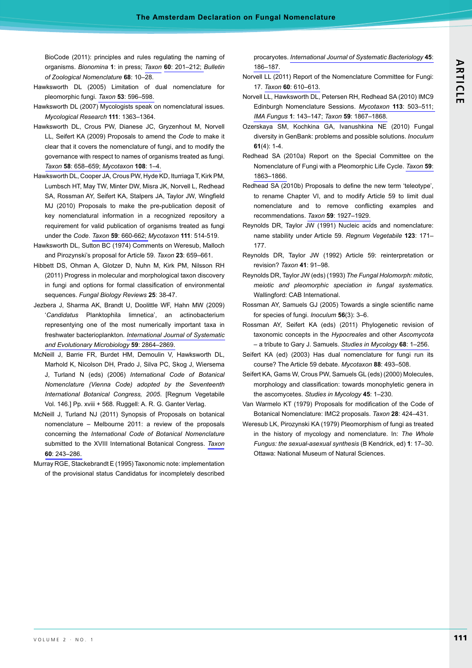BioCode (2011): principles and rules regulating the naming of organisms. *Bionomina* **1**: in press; *[Taxon](http://www.ingentaconnect.com/content/external-references?article=0040-0262()60L.201[aid=9607195])* **60**: [201–212;](http://www.ingentaconnect.com/content/external-references?article=0040-0262()60L.201[aid=9607195]) *Bulletin of Zoological Nomenclature* **68**: 10–28.

- Hawksworth DL (2005) Limitation of dual nomenclature for pleomorphic fungi. *Taxon* **53**: [596–598.](http://www.ingentaconnect.com/content/external-references?article=0040-0262()53L.596[aid=9276092])
- Hawksworth DL (2007) Mycologists speak on nomenclatural issues. *Mycological Research* **111**: 1363–1364.
- Hawksworth DL, Crous PW, Dianese JC, Gryzenhout M, Norvell LL, Seifert KA (2009) Proposals to amend the *Code* to make it clear that it covers the nomenclature of fungi, and to modify the governance with respect to names of organisms treated as fungi. *Taxon* **58**: [658–659;](http://www.ingentaconnect.com/content/external-references?article=0040-0262()58L.658[aid=9395442]) *[Mycotaxon](http://www.ingentaconnect.com/content/external-references?article=0093-4666()108L.1[aid=9344709])* **108**: 1–4.
- Hawksworth DL, Cooper JA, Crous PW, Hyde KD, Iturriaga T, Kirk PM, Lumbsch HT, May TW, Minter DW, Misra JK, Norvell L, Redhead SA, Rossman AY, Seifert KA, Stalpers JA, Taylor JW, Wingfield MJ (2010) Proposals to make the pre-publication deposit of key nomenclatural information in a recognized repository a requirement for valid publication of organisms treated as fungi under the *Code*. *Taxon* **59**: [660-662;](http://www.ingentaconnect.com/content/external-references?article=0040-0262()59L.660[aid=9462993]) *Mycotaxon* **111**: 514-519.
- Hawksworth DL, Sutton BC (1974) Comments on Weresub, Malloch and Pirozynski's proposal for Article 59. *Taxon* **23**: 659–661.
- Hibbett DS, Ohman A, Glotzer D, Nuhn M, Kirk PM, Nilsson RH (2011) Progress in molecular and morphological taxon discovery in fungi and options for formal classification of environmental sequences. *Fungal Biology Reviews* **25**: 38-47.
- Jezbera J, Sharma AK, Brandt U, Doolittle WF, Hahn MW (2009) '*Candidatus* Planktophila limnetica', an actinobacterium representying one of the most numerically important taxa in freshwater bacterioplankton. *[International Journal of Systematic](http://www.ingentaconnect.com/content/external-references?article=1466-5026()59L.2864[aid=9607193])  [and Evolutionary Microbiology](http://www.ingentaconnect.com/content/external-references?article=1466-5026()59L.2864[aid=9607193])* **59**: 2864–2869.
- McNeill J, Barrie FR, Burdet HM, Demoulin V, Hawksworth DL, Marhold K, Nicolson DH, Prado J, Silva PC, Skog J, Wiersema J, Turland N (eds) (2006) *International Code of Botanical Nomenclature (Vienna Code) adopted by the Seventeenth International Botanical Congress, 2005*. [Regnum Vegetabile Vol. 146.] Pp. xviii + 568. Ruggell: A. R. G. Ganter Verlag.
- McNeill J, Turland NJ (2011) Synopsis of Proposals on botanical nomenclature – Melbourne 2011: a review of the proposals concerning the *International Code of Botanical Nomenclature* submitted to the XVIII International Botanical Congress. *[Taxon](http://www.ingentaconnect.com/content/external-references?article=0040-0262()60L.243[aid=9607192])* **60**: [243–286.](http://www.ingentaconnect.com/content/external-references?article=0040-0262()60L.243[aid=9607192])
- Murray RGE, Stackebrandt E (1995) Taxonomic note: implementation of the provisional status Candidatus for incompletely described

procaryotes. *[International Journal of Systematic Bacteriology](http://www.ingentaconnect.com/content/external-references?article=0020-7713()45L.186[aid=9032859])* **45**: [186–187.](http://www.ingentaconnect.com/content/external-references?article=0020-7713()45L.186[aid=9032859])

- Norvell LL (2011) Report of the Nomenclature Committee for Fungi: 17. *Taxon* **60**: [610–613.](http://www.ingentaconnect.com/content/external-references?article=0040-0262()60L.610[aid=9607191])
- Norvell LL, Hawksworth DL, Petersen RH, Redhead SA (2010) IMC9 Edinburgh Nomenclature Sessions. *[Mycotaxon](http://www.ingentaconnect.com/content/external-references?article=0093-4666()113L.503[aid=9416270])* **113**: 503–511; *[IMA Fungus](http://www.ingentaconnect.com/content/external-references?article=2210-6340()1L.143[aid=9613304])* **1**: 143–147; *Taxon* **59**: [1867–1868.](http://www.ingentaconnect.com/content/external-references?article=0040-0262()59L.1867[aid=9607190])
- Ozerskaya SM, Kochkina GA, Ivanushkina NE (2010) Fungal diversity in GenBank: problems and possible solutions. *Inoculum*  **61**(4): 1-4.
- Redhead SA (2010a) Report on the Special Committee on the Nomenclature of Fungi with a Pleomorphic Life Cycle. *[Taxon](http://www.ingentaconnect.com/content/external-references?article=0040-0262()59L.1863[aid=9607189])* **59**: [1863–1866.](http://www.ingentaconnect.com/content/external-references?article=0040-0262()59L.1863[aid=9607189])
- Redhead SA (2010b) Proposals to define the new term 'teleotype', to rename Chapter VI, and to modify Article 59 to limit dual nomenclature and to remove conflicting examples and recommendations. *Taxon* **59**: [1927–1929.](http://www.ingentaconnect.com/content/external-references?article=0040-0262()59L.1927[aid=9416269])
- Reynolds DR, Taylor JW (1991) Nucleic acids and nomenclature: name stability under Article 59. *Regnum Vegetabile* **123**: 171– 177.
- Reynolds DR, Taylor JW (1992) Article 59: reinterpretation or revision? *Taxon* **41**: 91–98.
- Reynolds DR, Taylor JW (eds) (1993) *The Fungal Holomorph: mitotic, meiotic and pleomorphic speciation in fungal systematics.*  Wallingford: CAB International.
- Rossman AY, Samuels GJ (2005) Towards a single scientific name for species of fungi. *Inoculum* **56**(3): 3–6.
- Rossman AY, Seifert KA (eds) (2011) Phylogenetic revision of taxonomic concepts in the *Hypocreales* and other *Ascomycota*  – a tribute to Gary J. Samuels. *[Studies in Mycology](http://www.ingentaconnect.com/content/external-references?article=0166-0616()68L.1[aid=9521640])* **68**: 1–256.
- Seifert KA (ed) (2003) Has dual nomenclature for fungi run its course? The Article 59 debate. *Mycotaxon* **88**: 493–508.
- Seifert KA, Gams W, Crous PW, Samuels GL (eds) (2000) Molecules, morphology and classification: towards monophyletic genera in the ascomycetes. *Studies in Mycology* **45**: 1–230.
- Van Warmelo KT (1979) Proposals for modification of the Code of Botanical Nomenclature: IMC2 proposals. *Taxon* **28**: 424–431.
- Weresub LK, Pirozynski KA (1979) Pleomorphism of fungi as treated in the history of mycology and nomenclature. In: *The Whole Fungus: the sexual-asexual synthesis* (B Kendrick, ed) **1**: 17–30. Ottawa: National Museum of Natural Sciences.